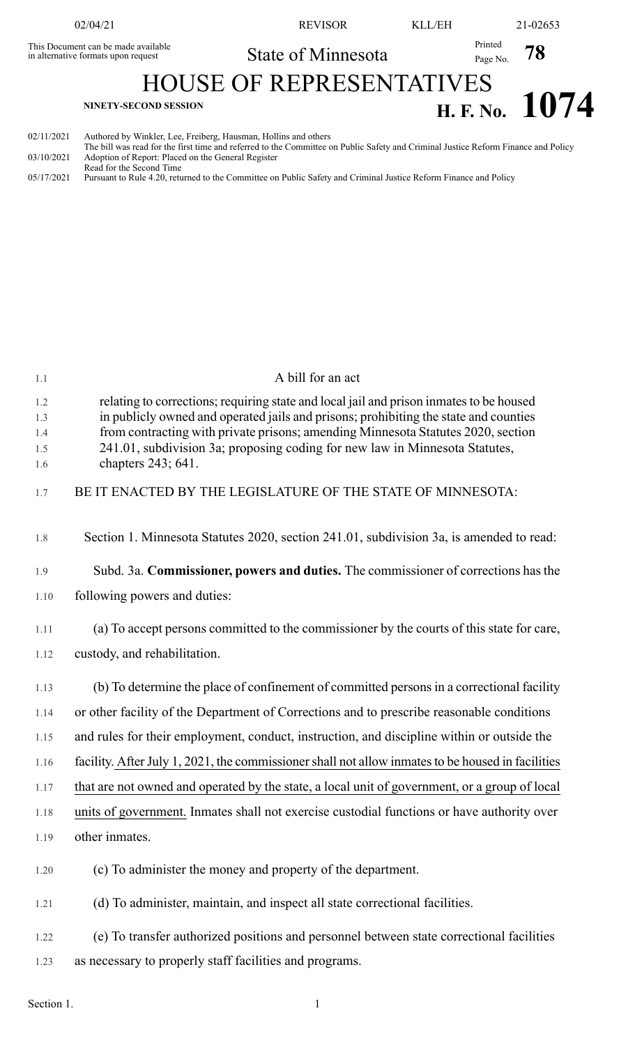|                                                                            | 02/04/21                                                        | <b>REVISOR</b>                                                                                                                     | KLL/EH              | 21-02653       |
|----------------------------------------------------------------------------|-----------------------------------------------------------------|------------------------------------------------------------------------------------------------------------------------------------|---------------------|----------------|
| This Document can be made available<br>in alternative formats upon request |                                                                 | State of Minnesota                                                                                                                 | Printed<br>Page No. | 78             |
| <b>HOUSE OF REPRESENTATIVES</b>                                            |                                                                 |                                                                                                                                    |                     |                |
| <b>NINETY-SECOND SESSION</b>                                               |                                                                 |                                                                                                                                    |                     | H. F. No. 1074 |
| 02/11/2021                                                                 | Authored by Winkler, Lee, Freiberg, Hausman, Hollins and others | The bill was read for the first time and referred to the Committee on Public Safety and Criminal Justice Reform Finance and Policy |                     |                |

- The bill was read for the first time and referred to the Committee on Public Safety and Criminal Justice Reform Finance and Policy 03/10/2021 Adoption of Report: Placed on the General Register Read for the Second Time
- 05/17/2021 Pursuant to Rule 4.20, returned to the Committee on Public Safety and Criminal Justice Reform Finance and Policy

| 1.1                             | A bill for an act                                                                                                                                                                                                                                                                                                                                                        |
|---------------------------------|--------------------------------------------------------------------------------------------------------------------------------------------------------------------------------------------------------------------------------------------------------------------------------------------------------------------------------------------------------------------------|
| 1.2<br>1.3<br>1.4<br>1.5<br>1.6 | relating to corrections; requiring state and local jail and prison inmates to be housed<br>in publicly owned and operated jails and prisons; prohibiting the state and counties<br>from contracting with private prisons; amending Minnesota Statutes 2020, section<br>241.01, subdivision 3a; proposing coding for new law in Minnesota Statutes,<br>chapters 243; 641. |
| 1.7                             | BE IT ENACTED BY THE LEGISLATURE OF THE STATE OF MINNESOTA:                                                                                                                                                                                                                                                                                                              |
| 1.8                             | Section 1. Minnesota Statutes 2020, section 241.01, subdivision 3a, is amended to read:                                                                                                                                                                                                                                                                                  |
| 1.9                             | Subd. 3a. Commissioner, powers and duties. The commissioner of corrections has the                                                                                                                                                                                                                                                                                       |
| 1.10                            | following powers and duties:                                                                                                                                                                                                                                                                                                                                             |
| 1.11                            | (a) To accept persons committed to the commissioner by the courts of this state for care,                                                                                                                                                                                                                                                                                |
| 1.12                            | custody, and rehabilitation.                                                                                                                                                                                                                                                                                                                                             |
| 1.13                            | (b) To determine the place of confinement of committed persons in a correctional facility                                                                                                                                                                                                                                                                                |
| 1.14                            | or other facility of the Department of Corrections and to prescribe reasonable conditions                                                                                                                                                                                                                                                                                |
| 1.15                            | and rules for their employment, conduct, instruction, and discipline within or outside the                                                                                                                                                                                                                                                                               |
| 1.16                            | facility. After July 1, 2021, the commissioner shall not allow inmates to be housed in facilities                                                                                                                                                                                                                                                                        |
| 1.17                            | that are not owned and operated by the state, a local unit of government, or a group of local                                                                                                                                                                                                                                                                            |
| 1.18                            | units of government. Inmates shall not exercise custodial functions or have authority over                                                                                                                                                                                                                                                                               |
| 1.19                            | other inmates.                                                                                                                                                                                                                                                                                                                                                           |
| 1.20                            | (c) To administer the money and property of the department.                                                                                                                                                                                                                                                                                                              |
| 1.21                            | (d) To administer, maintain, and inspect all state correctional facilities.                                                                                                                                                                                                                                                                                              |
| 1.22                            | (e) To transfer authorized positions and personnel between state correctional facilities                                                                                                                                                                                                                                                                                 |
| 1.23                            | as necessary to properly staff facilities and programs.                                                                                                                                                                                                                                                                                                                  |